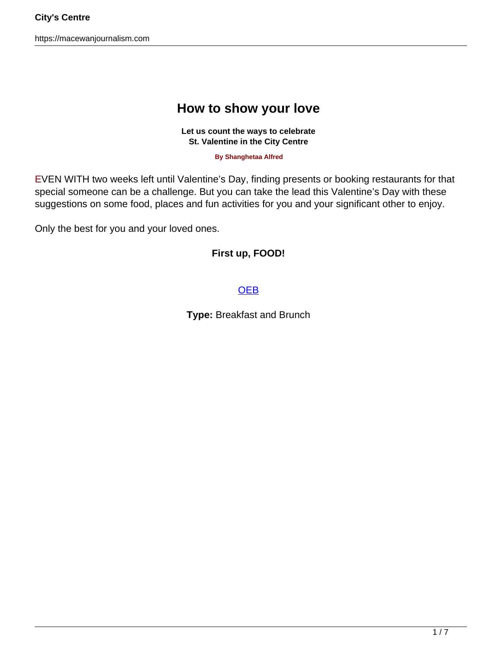https://macewanjournalism.com

# **How to show your love**

**Let us count the ways to celebrate St. Valentine in the City Centre**

**By Shanghetaa Alfred**

EVEN WITH two weeks left until Valentine's Day, finding presents or booking restaurants for that special someone can be a challenge. But you can take the lead this Valentine's Day with these suggestions on some food, places and fun activities for you and your significant other to enjoy.

Only the best for you and your loved ones.

### **First up, FOOD!**

#### **[OEB](https://www.instagram.com/oeb_breakfast/)**

**Type:** Breakfast and Brunch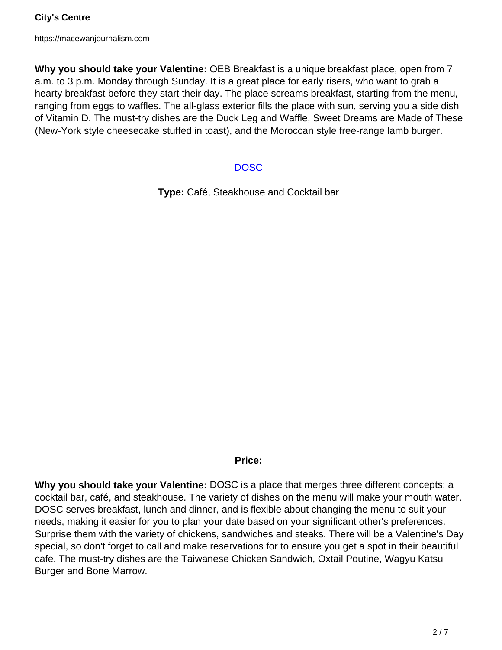**Why you should take your Valentine:** OEB Breakfast is a unique breakfast place, open from 7 a.m. to 3 p.m. Monday through Sunday. It is a great place for early risers, who want to grab a hearty breakfast before they start their day. The place screams breakfast, starting from the menu, ranging from eggs to waffles. The all-glass exterior fills the place with sun, serving you a side dish of Vitamin D. The must-try dishes are the Duck Leg and Waffle, Sweet Dreams are Made of These (New-York style cheesecake stuffed in toast), and the Moroccan style free-range lamb burger.

### **DOSC**

**Type:** Café, Steakhouse and Cocktail bar

### **Price:**

**Why you should take your Valentine:** DOSC is a place that merges three different concepts: a cocktail bar, café, and steakhouse. The variety of dishes on the menu will make your mouth water. DOSC serves breakfast, lunch and dinner, and is flexible about changing the menu to suit your needs, making it easier for you to plan your date based on your significant other's preferences. Surprise them with the variety of chickens, sandwiches and steaks. There will be a Valentine's Day special, so don't forget to call and make reservations for to ensure you get a spot in their beautiful cafe. The must-try dishes are the Taiwanese Chicken Sandwich, Oxtail Poutine, Wagyu Katsu Burger and Bone Marrow.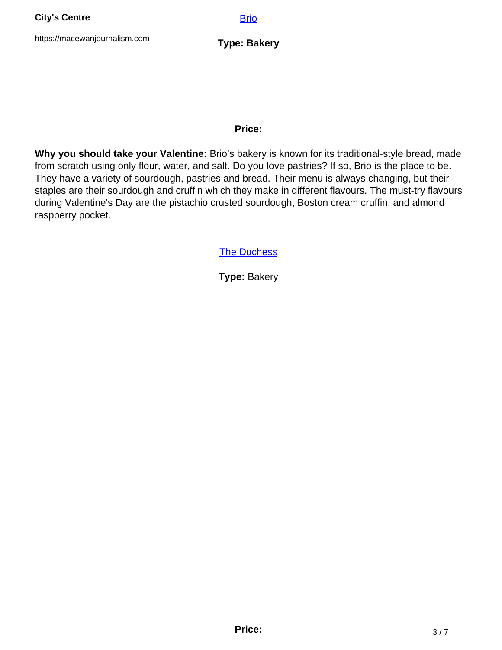#### **Price:**

**Why you should take your Valentine:** Brio's bakery is known for its traditional-style bread, made from scratch using only flour, water, and salt. Do you love pastries? If so, Brio is the place to be. They have a variety of sourdough, pastries and bread. Their menu is always changing, but their staples are their sourdough and cruffin which they make in different flavours. The must-try flavours during Valentine's Day are the pistachio crusted sourdough, Boston cream cruffin, and almond raspberry pocket.

**The Duchess** 

**Type:** Bakery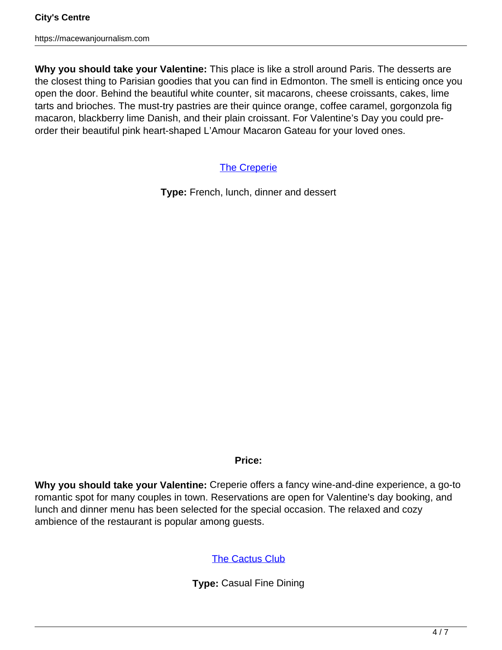**Why you should take your Valentine:** This place is like a stroll around Paris. The desserts are the closest thing to Parisian goodies that you can find in Edmonton. The smell is enticing once you open the door. Behind the beautiful white counter, sit macarons, cheese croissants, cakes, lime tarts and brioches. The must-try pastries are their quince orange, coffee caramel, gorgonzola fig macaron, blackberry lime Danish, and their plain croissant. For Valentine's Day you could preorder their beautiful pink heart-shaped L'Amour Macaron Gateau for your loved ones.

**The Creperie** 

**Type:** French, lunch, dinner and dessert

### **Price:**

**Why you should take your Valentine:** Creperie offers a fancy wine-and-dine experience, a go-to romantic spot for many couples in town. Reservations are open for Valentine's day booking, and lunch and dinner menu has been selected for the special occasion. The relaxed and cozy ambience of the restaurant is popular among guests.

# The Cactus Club

**Type:** Casual Fine Dining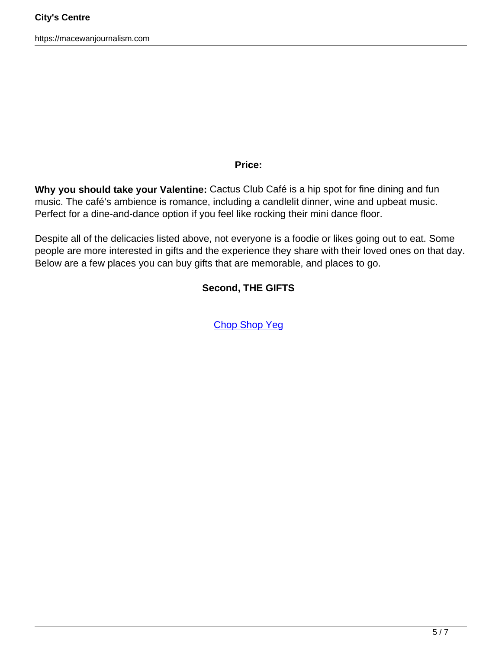#### **Price:**

**Why you should take your Valentine:** Cactus Club Café is a hip spot for fine dining and fun music. The café's ambience is romance, including a candlelit dinner, wine and upbeat music. Perfect for a dine-and-dance option if you feel like rocking their mini dance floor.

Despite all of the delicacies listed above, not everyone is a foodie or likes going out to eat. Some people are more interested in gifts and the experience they share with their loved ones on that day. Below are a few places you can buy gifts that are memorable, and places to go.

### **Second, THE GIFTS**

Chop Shop Yeg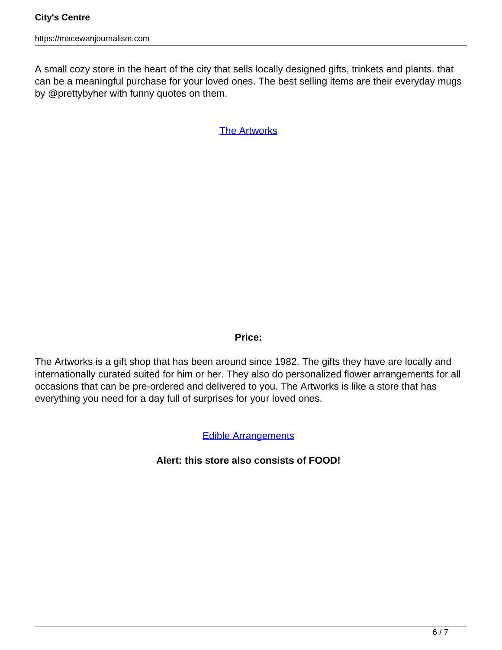A small cozy store in the heart of the city that sells locally designed gifts, trinkets and plants. that can be a meaningful purchase for your loved ones. The best selling items are their everyday mugs by @prettybyher with funny quotes on them.

The Artworks

### **Price:**

The Artworks is a gift shop that has been around since 1982. The gifts they have are locally and internationally curated suited for him or her. They also do personalized flower arrangements for all occasions that can be pre-ordered and delivered to you. The Artworks is like a store that has everything you need for a day full of surprises for your loved ones.

# Edible Arrangements

# **Alert: this store also consists of FOOD!**